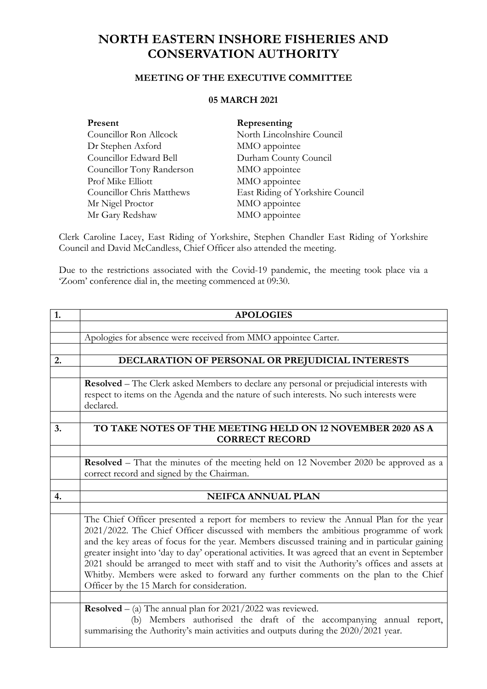## **NORTH EASTERN INSHORE FISHERIES AND CONSERVATION AUTHORITY**

## **MEETING OF THE EXECUTIVE COMMITTEE**

## **05 MARCH 2021**

| Present                          | Representing                     |
|----------------------------------|----------------------------------|
| Councillor Ron Allcock           | North Lincolnshire Council       |
| Dr Stephen Axford                | MMO appointee                    |
| Councillor Edward Bell           | Durham County Council            |
| Councillor Tony Randerson        | MMO appointee                    |
| Prof Mike Elliott                | MMO appointee                    |
| <b>Councillor Chris Matthews</b> | East Riding of Yorkshire Council |
| Mr Nigel Proctor                 | MMO appointee                    |
| Mr Gary Redshaw                  | MMO appointee                    |

Clerk Caroline Lacey, East Riding of Yorkshire, Stephen Chandler East Riding of Yorkshire Council and David McCandless, Chief Officer also attended the meeting.

Due to the restrictions associated with the Covid-19 pandemic, the meeting took place via a 'Zoom' conference dial in, the meeting commenced at 09:30.

| 1. | <b>APOLOGIES</b>                                                                                                                                                                                                                                                                                                                                                                                                                                                                                                                                                                                                            |
|----|-----------------------------------------------------------------------------------------------------------------------------------------------------------------------------------------------------------------------------------------------------------------------------------------------------------------------------------------------------------------------------------------------------------------------------------------------------------------------------------------------------------------------------------------------------------------------------------------------------------------------------|
|    |                                                                                                                                                                                                                                                                                                                                                                                                                                                                                                                                                                                                                             |
|    | Apologies for absence were received from MMO appointee Carter.                                                                                                                                                                                                                                                                                                                                                                                                                                                                                                                                                              |
|    |                                                                                                                                                                                                                                                                                                                                                                                                                                                                                                                                                                                                                             |
| 2. | DECLARATION OF PERSONAL OR PREJUDICIAL INTERESTS                                                                                                                                                                                                                                                                                                                                                                                                                                                                                                                                                                            |
|    |                                                                                                                                                                                                                                                                                                                                                                                                                                                                                                                                                                                                                             |
|    | Resolved - The Clerk asked Members to declare any personal or prejudicial interests with                                                                                                                                                                                                                                                                                                                                                                                                                                                                                                                                    |
|    | respect to items on the Agenda and the nature of such interests. No such interests were                                                                                                                                                                                                                                                                                                                                                                                                                                                                                                                                     |
|    | declared.                                                                                                                                                                                                                                                                                                                                                                                                                                                                                                                                                                                                                   |
|    |                                                                                                                                                                                                                                                                                                                                                                                                                                                                                                                                                                                                                             |
| 3. | TO TAKE NOTES OF THE MEETING HELD ON 12 NOVEMBER 2020 AS A                                                                                                                                                                                                                                                                                                                                                                                                                                                                                                                                                                  |
|    | <b>CORRECT RECORD</b>                                                                                                                                                                                                                                                                                                                                                                                                                                                                                                                                                                                                       |
|    |                                                                                                                                                                                                                                                                                                                                                                                                                                                                                                                                                                                                                             |
|    | Resolved - That the minutes of the meeting held on 12 November 2020 be approved as a                                                                                                                                                                                                                                                                                                                                                                                                                                                                                                                                        |
|    | correct record and signed by the Chairman.                                                                                                                                                                                                                                                                                                                                                                                                                                                                                                                                                                                  |
|    |                                                                                                                                                                                                                                                                                                                                                                                                                                                                                                                                                                                                                             |
| 4. | <b>NEIFCA ANNUAL PLAN</b>                                                                                                                                                                                                                                                                                                                                                                                                                                                                                                                                                                                                   |
|    |                                                                                                                                                                                                                                                                                                                                                                                                                                                                                                                                                                                                                             |
|    | The Chief Officer presented a report for members to review the Annual Plan for the year<br>2021/2022. The Chief Officer discussed with members the ambitious programme of work<br>and the key areas of focus for the year. Members discussed training and in particular gaining<br>greater insight into 'day to day' operational activities. It was agreed that an event in September<br>2021 should be arranged to meet with staff and to visit the Authority's offices and assets at<br>Whitby. Members were asked to forward any further comments on the plan to the Chief<br>Officer by the 15 March for consideration. |
|    |                                                                                                                                                                                                                                                                                                                                                                                                                                                                                                                                                                                                                             |
|    | <b>Resolved</b> – (a) The annual plan for $2021/2022$ was reviewed.<br>(b) Members authorised the draft of the accompanying annual report,<br>summarising the Authority's main activities and outputs during the 2020/2021 year.                                                                                                                                                                                                                                                                                                                                                                                            |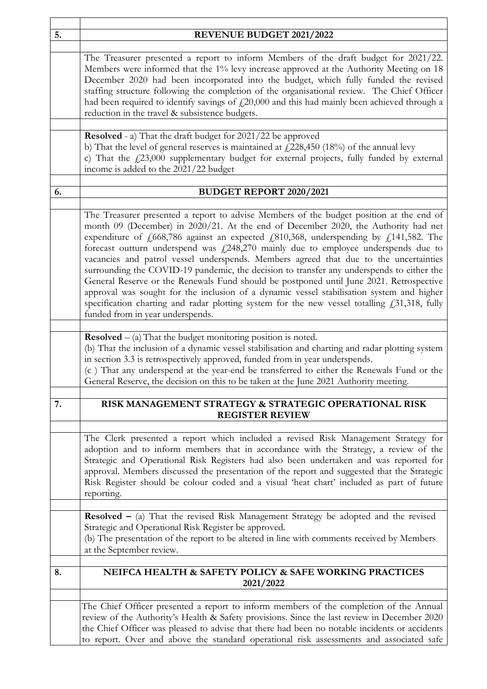| 5. | REVENUE BUDGET 2021/2022                                                                                                                                                                                                                                                                                                                                                                                                                                                                                                                                                                                                                                                                                                                                                                                                                                                          |  |
|----|-----------------------------------------------------------------------------------------------------------------------------------------------------------------------------------------------------------------------------------------------------------------------------------------------------------------------------------------------------------------------------------------------------------------------------------------------------------------------------------------------------------------------------------------------------------------------------------------------------------------------------------------------------------------------------------------------------------------------------------------------------------------------------------------------------------------------------------------------------------------------------------|--|
|    | The Treasurer presented a report to inform Members of the draft budget for 2021/22.<br>Members were informed that the 1% levy increase approved at the Authority Meeting on 18<br>December 2020 had been incorporated into the budget, which fully funded the revised<br>staffing structure following the completion of the organisational review. The Chief Officer<br>had been required to identify savings of $f(20,000)$ and this had mainly been achieved through a<br>reduction in the travel & subsistence budgets.                                                                                                                                                                                                                                                                                                                                                        |  |
|    | <b>Resolved</b> - a) That the draft budget for 2021/22 be approved                                                                                                                                                                                                                                                                                                                                                                                                                                                                                                                                                                                                                                                                                                                                                                                                                |  |
|    | b) That the level of general reserves is maintained at $\text{\textsterling}228,\!450$ (18%) of the annual levy<br>c) That the $\text{\textsterling}23,000$ supplementary budget for external projects, fully funded by external<br>income is added to the 2021/22 budget                                                                                                                                                                                                                                                                                                                                                                                                                                                                                                                                                                                                         |  |
| 6. | <b>BUDGET REPORT 2020/2021</b>                                                                                                                                                                                                                                                                                                                                                                                                                                                                                                                                                                                                                                                                                                                                                                                                                                                    |  |
|    |                                                                                                                                                                                                                                                                                                                                                                                                                                                                                                                                                                                                                                                                                                                                                                                                                                                                                   |  |
|    | The Treasurer presented a report to advise Members of the budget position at the end of<br>month 09 (December) in 2020/21. At the end of December 2020, the Authority had net<br>expenditure of £668,786 against an expected £810,368, underspending by £141,582. The<br>forecast outturn underspend was $f(248,270)$ mainly due to employee underspends due to<br>vacancies and patrol vessel underspends. Members agreed that due to the uncertainties<br>surrounding the COVID-19 pandemic, the decision to transfer any underspends to either the<br>General Reserve or the Renewals Fund should be postponed until June 2021. Retrospective<br>approval was sought for the inclusion of a dynamic vessel stabilisation system and higher<br>specification charting and radar plotting system for the new vessel totalling £31,318, fully<br>funded from in year underspends. |  |
|    | <b>Resolved</b> $-$ (a) That the budget monitoring position is noted.<br>(b) That the inclusion of a dynamic vessel stabilisation and charting and radar plotting system<br>in section 3.3 is retrospectively approved, funded from in year underspends.<br>(c) That any underspend at the year-end be transferred to either the Renewals Fund or the<br>General Reserve, the decision on this to be taken at the June 2021 Authority meeting.                                                                                                                                                                                                                                                                                                                                                                                                                                    |  |
| 7. | RISK MANAGEMENT STRATEGY & STRATEGIC OPERATIONAL RISK<br><b>REGISTER REVIEW</b>                                                                                                                                                                                                                                                                                                                                                                                                                                                                                                                                                                                                                                                                                                                                                                                                   |  |
|    | The Clerk presented a report which included a revised Risk Management Strategy for<br>adoption and to inform members that in accordance with the Strategy, a review of the<br>Strategic and Operational Risk Registers had also been undertaken and was reported for<br>approval. Members discussed the presentation of the report and suggested that the Strategic<br>Risk Register should be colour coded and a visual 'heat chart' included as part of future<br>reporting.                                                                                                                                                                                                                                                                                                                                                                                                    |  |
|    | <b>Resolved</b> $-$ (a) That the revised Risk Management Strategy be adopted and the revised<br>Strategic and Operational Risk Register be approved.<br>(b) The presentation of the report to be altered in line with comments received by Members<br>at the September review.                                                                                                                                                                                                                                                                                                                                                                                                                                                                                                                                                                                                    |  |
| 8. | NEIFCA HEALTH & SAFETY POLICY & SAFE WORKING PRACTICES<br>2021/2022                                                                                                                                                                                                                                                                                                                                                                                                                                                                                                                                                                                                                                                                                                                                                                                                               |  |
|    | The Chief Officer presented a report to inform members of the completion of the Annual<br>review of the Authority's Health & Safety provisions. Since the last review in December 2020<br>the Chief Officer was pleased to advise that there had been no notable incidents or accidents<br>to report. Over and above the standard operational risk assessments and associated safe                                                                                                                                                                                                                                                                                                                                                                                                                                                                                                |  |